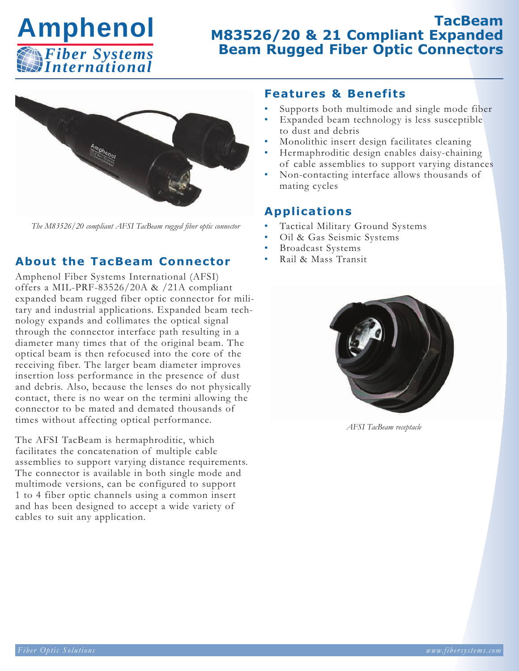

# **TacBeam M83526/20 & 21 Compliant Expanded Beam Rugged Fiber Optic Connectors**



*The M83526/20 compliant AFSI TacBeam rugged fiber optic connector*

### **About the TacBeam Connector**

Amphenol Fiber Systems International (AFSI) offers a MIL-PRF-83526/20A & /21A compliant expanded beam rugged fiber optic connector for military and industrial applications. Expanded beam technology expands and collimates the optical signal through the connector interface path resulting in a diameter many times that of the original beam. The optical beam is then refocused into the core of the receiving fiber. The larger beam diameter improves insertion loss performance in the presence of dust and debris. Also, because the lenses do not physically contact, there is no wear on the termini allowing the connector to be mated and demated thousands of times without affecting optical performance.

The AFSI TacBeam is hermaphroditic, which facilitates the concatenation of multiple cable assemblies to support varying distance requirements. The connector is available in both single mode and multimode versions, can be configured to support 1 to 4 fiber optic channels using a common insert and has been designed to accept a wide variety of cables to suit any application.

#### **Features & Benefits**

- Supports both multimode and single mode fiber
- Expanded beam technology is less susceptible to dust and debris
- Monolithic insert design facilitates cleaning
- Hermaphroditic design enables daisy-chaining of cable assemblies to support varying distances
- Non-contacting interface allows thousands of mating cycles

#### **App l icat ions**

- Tactical Military Ground Systems
- Oil & Gas Seismic Systems
- Broadcast Systems
- Rail & Mass Transit



*AFSI TacBeam receptacle*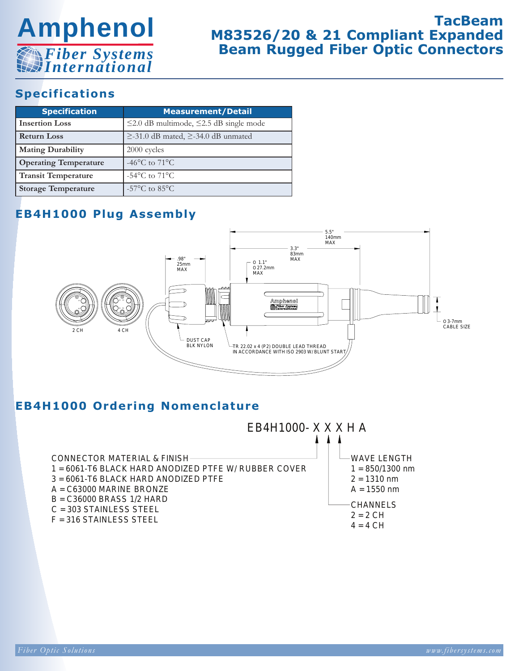

# **TacBeam M83526/20 & 21 Compliant Expanded Beam Rugged Fiber Optic Connectors**

## **Specifications**

| <b>Specification</b>         | <b>Measurement/Detail</b>                           |
|------------------------------|-----------------------------------------------------|
| <b>Insertion Loss</b>        | $\leq$ 2.0 dB multimode, $\leq$ 2.5 dB single mode  |
| <b>Return Loss</b>           | $\geq$ -31.0 dB mated, $\geq$ -34.0 dB unmated      |
| <b>Mating Durability</b>     | 2000 cycles                                         |
| <b>Operating Temperature</b> | -46 $^{\circ}$ C to 71 $^{\circ}$ C                 |
| <b>Transit Temperature</b>   | $-54^{\circ}$ C to $71^{\circ}$ C                   |
| <b>Storage Temperature</b>   | -57 $\mathrm{^{\circ}C}$ to 85 $\mathrm{^{\circ}C}$ |

## **EB4H1000 Plug Assembly**



## **EB4H1000 Ordering Nomenclature**

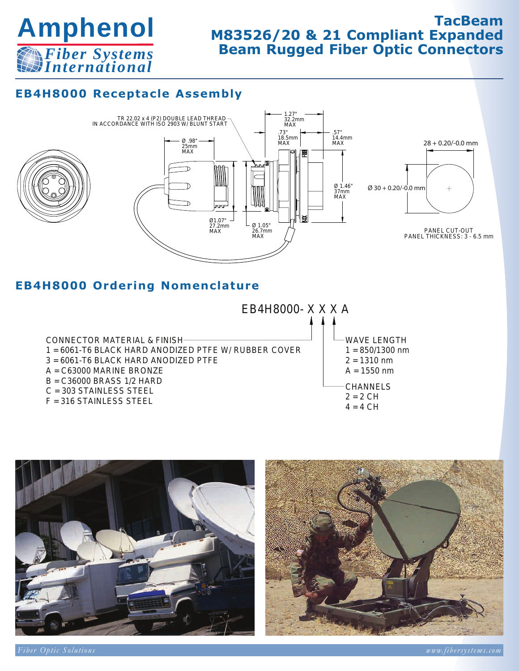

# **TacBeam M83526/20 & 21 Compliant Expanded Beam Rugged Fiber Optic Connectors**

## **EB4H8000 Receptacle Assembly**



## **EB4H8000 Ordering Nomenclature**